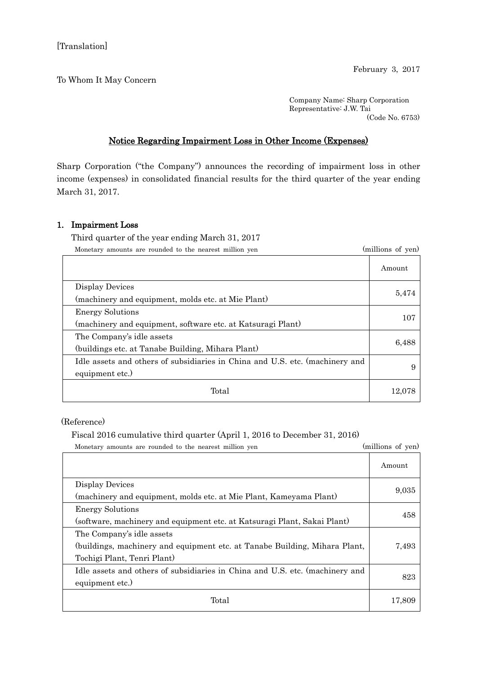## To Whom It May Concern

Company Name: Sharp Corporation Representative: J.W. Tai (Code No. 6753)

## Notice Regarding Impairment Loss in Other Income (Expenses)

Sharp Corporation ("the Company") announces the recording of impairment loss in other income (expenses) in consolidated financial results for the third quarter of the year ending March 31, 2017.

## 1. Impairment Loss

Third quarter of the year ending March 31, 2017

| Monetary amounts are rounded to the nearest million yen                      | (millions of yen) |  |
|------------------------------------------------------------------------------|-------------------|--|
|                                                                              | Amount            |  |
| Display Devices                                                              | 5,474             |  |
| (machinery and equipment, molds etc. at Mie Plant)                           |                   |  |
| <b>Energy Solutions</b>                                                      |                   |  |
| (machinery and equipment, software etc. at Katsuragi Plant)                  | 107               |  |
| The Company's idle assets                                                    |                   |  |
| (buildings etc. at Tanabe Building, Mihara Plant)                            | 6,488             |  |
| Idle assets and others of subsidiaries in China and U.S. etc. (machinery and | 9                 |  |
| equipment etc.)                                                              |                   |  |
| Total                                                                        | 12,078            |  |

(Reference)

Fiscal 2016 cumulative third quarter (April 1, 2016 to December 31, 2016)

| Monetary amounts are rounded to the nearest million yen | (millions of yen) |  |  |
|---------------------------------------------------------|-------------------|--|--|
|---------------------------------------------------------|-------------------|--|--|

|                                                                              | Amount |  |
|------------------------------------------------------------------------------|--------|--|
| Display Devices                                                              | 9,035  |  |
| (machinery and equipment, molds etc. at Mie Plant, Kameyama Plant)           |        |  |
| <b>Energy Solutions</b>                                                      |        |  |
| (software, machinery and equipment etc. at Katsuragi Plant, Sakai Plant)     | 458    |  |
| The Company's idle assets                                                    |        |  |
| (buildings, machinery and equipment etc. at Tanabe Building, Mihara Plant,   | 7,493  |  |
| Tochigi Plant, Tenri Plant)                                                  |        |  |
| Idle assets and others of subsidiaries in China and U.S. etc. (machinery and |        |  |
| equipment etc.)                                                              | 823    |  |
| Total                                                                        | 17,809 |  |